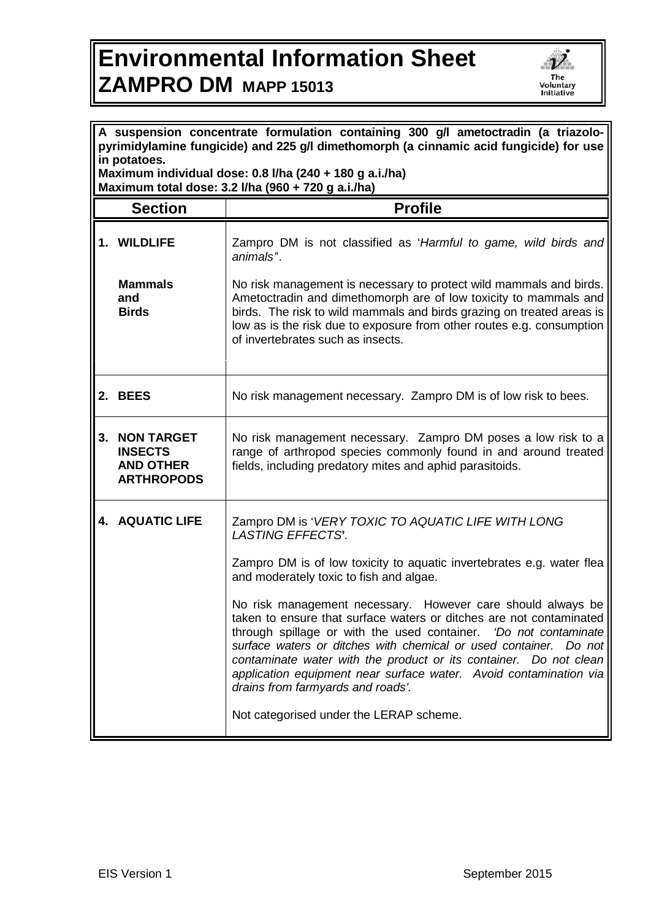## **Environmental Information Sheet ZAMPRO DM MAPP 15013**



| A suspension concentrate formulation containing 300 g/l ametoctradin (a triazolo-<br>pyrimidylamine fungicide) and 225 g/l dimethomorph (a cinnamic acid fungicide) for use<br>in potatoes.<br>Maximum individual dose: 0.8 l/ha (240 + 180 g a.i./ha)<br>Maximum total dose: 3.2 l/ha (960 + 720 g a.i./ha) |                                                                              |                                                                                                                                                                                                                                                                                                                                                                                                                                                                                                          |  |
|--------------------------------------------------------------------------------------------------------------------------------------------------------------------------------------------------------------------------------------------------------------------------------------------------------------|------------------------------------------------------------------------------|----------------------------------------------------------------------------------------------------------------------------------------------------------------------------------------------------------------------------------------------------------------------------------------------------------------------------------------------------------------------------------------------------------------------------------------------------------------------------------------------------------|--|
|                                                                                                                                                                                                                                                                                                              | <b>Section</b>                                                               | <b>Profile</b>                                                                                                                                                                                                                                                                                                                                                                                                                                                                                           |  |
|                                                                                                                                                                                                                                                                                                              | 1. WILDLIFE                                                                  | Zampro DM is not classified as 'Harmful to game, wild birds and<br>animals <sup>"</sup> .                                                                                                                                                                                                                                                                                                                                                                                                                |  |
|                                                                                                                                                                                                                                                                                                              | <b>Mammals</b><br>and<br><b>Birds</b>                                        | No risk management is necessary to protect wild mammals and birds.<br>Ametoctradin and dimethomorph are of low toxicity to mammals and<br>birds. The risk to wild mammals and birds grazing on treated areas is<br>low as is the risk due to exposure from other routes e.g. consumption<br>of invertebrates such as insects.                                                                                                                                                                            |  |
|                                                                                                                                                                                                                                                                                                              | 2. BEES                                                                      | No risk management necessary. Zampro DM is of low risk to bees.                                                                                                                                                                                                                                                                                                                                                                                                                                          |  |
| 3.                                                                                                                                                                                                                                                                                                           | <b>NON TARGET</b><br><b>INSECTS</b><br><b>AND OTHER</b><br><b>ARTHROPODS</b> | No risk management necessary. Zampro DM poses a low risk to a<br>range of arthropod species commonly found in and around treated<br>fields, including predatory mites and aphid parasitoids.                                                                                                                                                                                                                                                                                                             |  |
|                                                                                                                                                                                                                                                                                                              | <b>4. AQUATIC LIFE</b>                                                       | Zampro DM is 'VERY TOXIC TO AQUATIC LIFE WITH LONG<br>LASTING EFFECTS'.                                                                                                                                                                                                                                                                                                                                                                                                                                  |  |
|                                                                                                                                                                                                                                                                                                              |                                                                              | Zampro DM is of low toxicity to aquatic invertebrates e.g. water flea<br>and moderately toxic to fish and algae.                                                                                                                                                                                                                                                                                                                                                                                         |  |
|                                                                                                                                                                                                                                                                                                              |                                                                              | No risk management necessary.<br>However care should always be<br>taken to ensure that surface waters or ditches are not contaminated<br>through spillage or with the used container. 'Do not contaminate<br>surface waters or ditches with chemical or used container. Do not<br>contaminate water with the product or its container. Do not clean<br>application equipment near surface water. Avoid contamination via<br>drains from farmyards and roads'.<br>Not categorised under the LERAP scheme. |  |
|                                                                                                                                                                                                                                                                                                              |                                                                              |                                                                                                                                                                                                                                                                                                                                                                                                                                                                                                          |  |